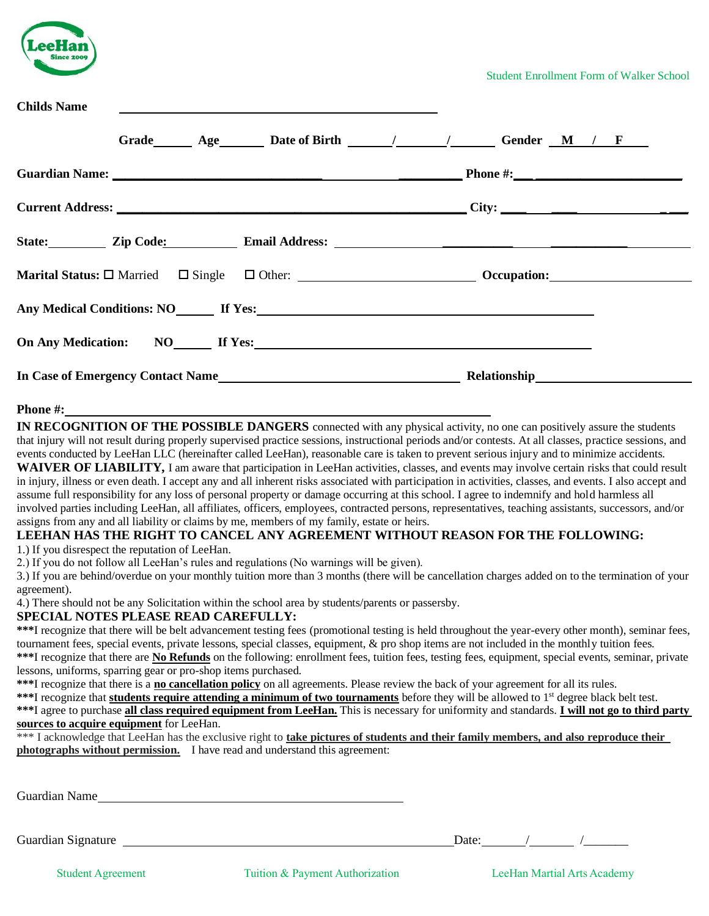| eeHan             |
|-------------------|
| <b>Since 2009</b> |
|                   |

**Childs Name** 

| Chinus Name |                                                                                                                                                                                                                                        |                                                                                                                                                                                                                                      |  |
|-------------|----------------------------------------------------------------------------------------------------------------------------------------------------------------------------------------------------------------------------------------|--------------------------------------------------------------------------------------------------------------------------------------------------------------------------------------------------------------------------------------|--|
|             |                                                                                                                                                                                                                                        | Grade Age Date of Birth / / / Gender M / F                                                                                                                                                                                           |  |
|             |                                                                                                                                                                                                                                        | Guardian Name: <u>Contract Communications of the Communications of the Communications of the Communications of the Communications of the Communications of the Communications of the Communications of the Communications of the</u> |  |
|             |                                                                                                                                                                                                                                        |                                                                                                                                                                                                                                      |  |
|             |                                                                                                                                                                                                                                        |                                                                                                                                                                                                                                      |  |
|             |                                                                                                                                                                                                                                        |                                                                                                                                                                                                                                      |  |
|             |                                                                                                                                                                                                                                        |                                                                                                                                                                                                                                      |  |
|             |                                                                                                                                                                                                                                        |                                                                                                                                                                                                                                      |  |
|             | In Case of Emergency Contact Name<br><u>Letter and the contract of the contract of the contract of the contract of the contract of the contract of the contract of the contract of the contract of the contract of the contract of</u> |                                                                                                                                                                                                                                      |  |

#### **Phone #:**

**IN RECOGNITION OF THE POSSIBLE DANGERS** connected with any physical activity, no one can positively assure the students that injury will not result during properly supervised practice sessions, instructional periods and/or contests. At all classes, practice sessions, and events conducted by LeeHan LLC (hereinafter called LeeHan), reasonable care is taken to prevent serious injury and to minimize accidents. **WAIVER OF LIABILITY,** I am aware that participation in LeeHan activities, classes, and events may involve certain risks that could result in injury, illness or even death. I accept any and all inherent risks associated with participation in activities, classes, and events. I also accept and assume full responsibility for any loss of personal property or damage occurring at this school. I agree to indemnify and hold harmless all involved parties including LeeHan, all affiliates, officers, employees, contracted persons, representatives, teaching assistants, successors, and/or

assigns from any and all liability or claims by me, members of my family, estate or heirs.

## **LEEHAN HAS THE RIGHT TO CANCEL ANY AGREEMENT WITHOUT REASON FOR THE FOLLOWING:**

1.) If you disrespect the reputation of LeeHan.

2.) If you do not follow all LeeHan's rules and regulations (No warnings will be given).

3.) If you are behind/overdue on your monthly tuition more than 3 months (there will be cancellation charges added on to the termination of your agreement).

4.) There should not be any Solicitation within the school area by students/parents or passersby.

### **SPECIAL NOTES PLEASE READ CAREFULLY:**

**\*\*\***I recognize that there will be belt advancement testing fees (promotional testing is held throughout the year-every other month), seminar fees, tournament fees, special events, private lessons, special classes, equipment, & pro shop items are not included in the monthly tuition fees. **\*\*\***I recognize that there are **No Refunds** on the following: enrollment fees, tuition fees, testing fees, equipment, special events, seminar, private

lessons, uniforms, sparring gear or pro-shop items purchased.

**\*\*\***I recognize that there is a **no cancellation policy** on all agreements. Please review the back of your agreement for all its rules.

\*\*\*I recognize that **students require attending a minimum of two tournaments** before they will be allowed to 1<sup>st</sup> degree black belt test. **\*\*\***I agree to purchase **all class required equipment from LeeHan.** This is necessary for uniformity and standards. **I will not go to third party sources to acquire equipment** for LeeHan.

| *** I acknowledge that LeeHan has the exclusive right to take pictures of students and their family members, and also reproduce their |
|---------------------------------------------------------------------------------------------------------------------------------------|
| photographs without permission. I have read and understand this agreement:                                                            |

Guardian Name

Guardian Signature Date: / / / /

Student Agreement Tuition & Payment Authorization LeeHan Martial Arts Academy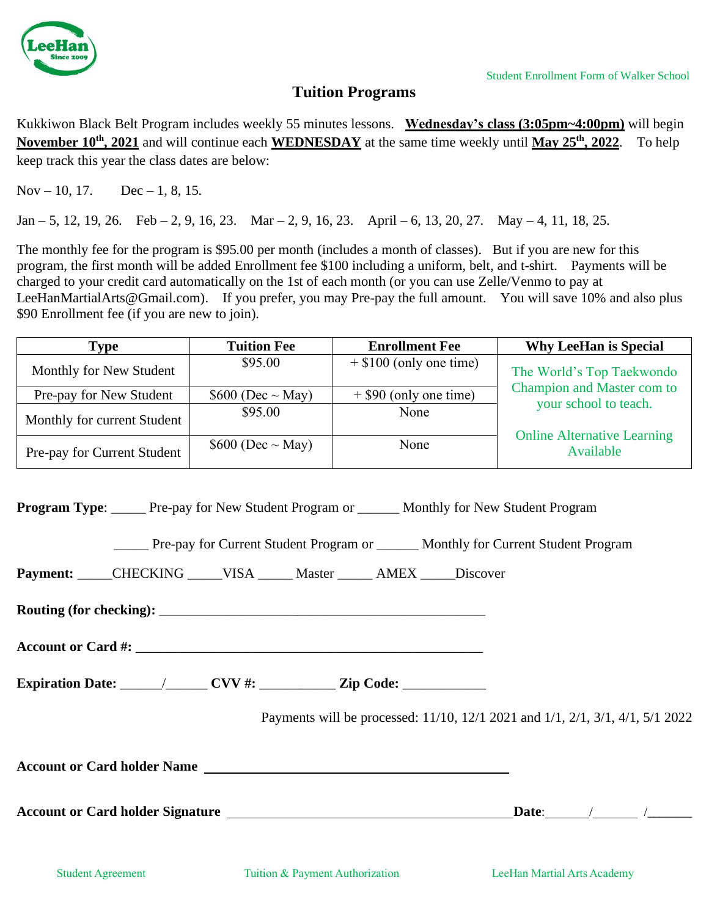

## **Tuition Programs**

Kukkiwon Black Belt Program includes weekly 55 minutes lessons. **Wednesday's class (3:05pm~4:00pm)** will begin **November 10th, 2021** and will continue each **WEDNESDAY** at the same time weekly until **May 25 th, 2022**. To help keep track this year the class dates are below:

Nov – 10, 17. Dec – 1, 8, 15.

Jan – 5, 12, 19, 26. Feb – 2, 9, 16, 23. Mar – 2, 9, 16, 23. April – 6, 13, 20, 27. May – 4, 11, 18, 25.

The monthly fee for the program is \$95.00 per month (includes a month of classes). But if you are new for this program, the first month will be added Enrollment fee \$100 including a uniform, belt, and t-shirt. Payments will be charged to your credit card automatically on the 1st of each month (or you can use Zelle/Venmo to pay at LeeHanMartialArts@Gmail.com). If you prefer, you may Pre-pay the full amount. You will save 10% and also plus \$90 Enrollment fee (if you are new to join).

| Type                        | <b>Tuition Fee</b>      | <b>Enrollment Fee</b>     | <b>Why LeeHan is Special</b>                    |  |
|-----------------------------|-------------------------|---------------------------|-------------------------------------------------|--|
| Monthly for New Student     | \$95.00                 | $+$ \$100 (only one time) | The World's Top Taekwondo                       |  |
| Pre-pay for New Student     | $$600$ (Dec $\sim$ May) | $+$ \$90 (only one time)  | Champion and Master com to                      |  |
| Monthly for current Student | \$95.00                 | None                      | your school to teach.                           |  |
| Pre-pay for Current Student | $$600$ (Dec $\sim$ May) | None                      | <b>Online Alternative Learning</b><br>Available |  |

**Program Type:** Pre-pay for New Student Program or Monthly for New Student Program

\_\_\_\_\_ Pre-pay for Current Student Program or \_\_\_\_\_\_ Monthly for Current Student Program

**Payment:** \_\_\_\_\_CHECKING \_\_\_\_\_VISA \_\_\_\_\_ Master \_\_\_\_ AMEX Discover

**Routing (for checking):** 

Account or Card #:

**Expiration Date:** \_\_\_\_\_\_/\_\_\_\_\_\_ **CVV #:** \_\_\_\_\_\_\_\_\_\_\_ **Zip Code:** \_\_\_\_\_\_\_\_\_\_\_\_

Payments will be processed: 11/10, 12/1 2021 and 1/1, 2/1, 3/1, 4/1, 5/1 2022

**Account or Card holder Name** 

**Account or Card holder Signature Date**: / /\_\_\_\_\_\_\_